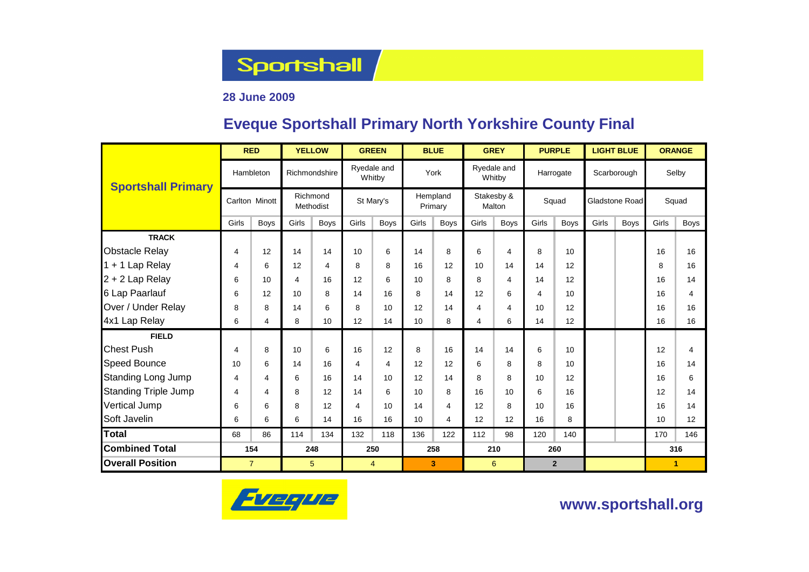**Sportshall** 

### **28 June 2009**

### **Eveque Sportshall Primary North Yorkshire County Final**

|                             |                | <b>RED</b>     |                       | <b>YELLOW</b> |                | <b>GREEN</b>          |                     | <b>BLUE</b> |                      | <b>GREY</b>           |       | <b>PURPLE</b>  |                | <b>LIGHT BLUE</b> | <b>ORANGE</b> |              |  |
|-----------------------------|----------------|----------------|-----------------------|---------------|----------------|-----------------------|---------------------|-------------|----------------------|-----------------------|-------|----------------|----------------|-------------------|---------------|--------------|--|
| <b>Sportshall Primary</b>   |                | Hambleton      |                       | Richmondshire |                | Ryedale and<br>Whitby |                     | York        |                      | Ryedale and<br>Whitby |       | Harrogate      |                | Scarborough       |               | Selby        |  |
|                             | Carlton Minott |                | Richmond<br>Methodist |               | St Mary's      |                       | Hempland<br>Primary |             | Stakesby &<br>Malton |                       | Squad |                | Gladstone Road |                   |               | Squad        |  |
|                             | Girls          | <b>Boys</b>    | Girls                 | <b>Boys</b>   | Girls          | <b>Boys</b>           | Girls               | <b>Boys</b> | Girls                | <b>Boys</b>           | Girls | <b>Boys</b>    | Girls          | <b>Boys</b>       | Girls         | <b>Boys</b>  |  |
| <b>TRACK</b>                |                |                |                       |               |                |                       |                     |             |                      |                       |       |                |                |                   |               |              |  |
| <b>Obstacle Relay</b>       | 4              | 12             | 14                    | 14            | 10             | 6                     | 14                  | 8           | 6                    | $\overline{4}$        | 8     | 10             |                |                   | 16            | 16           |  |
| 1 + 1 Lap Relay             | 4              | 6              | 12                    | 4             | 8              | 8                     | 16                  | 12          | 10                   | 14                    | 14    | 12             |                |                   | 8             | 16           |  |
| 2 + 2 Lap Relay             | 6              | 10             | 4                     | 16            | 12             | 6                     | 10                  | 8           | 8                    | $\overline{4}$        | 14    | 12             |                |                   | 16            | 14           |  |
| 6 Lap Paarlauf              | 6              | 12             | 10                    | 8             | 14             | 16                    | 8                   | 14          | 12                   | 6                     | 4     | 10             |                |                   | 16            | 4            |  |
| Over / Under Relay          | 8              | 8              | 14                    | 6             | 8              | 10                    | 12                  | 14          | $\overline{4}$       | 4                     | 10    | 12             |                |                   | 16            | 16           |  |
| 4x1 Lap Relay               | 6              | 4              | 8                     | 10            | 12             | 14                    | 10                  | 8           | 4                    | 6                     | 14    | 12             |                |                   | 16            | 16           |  |
| <b>FIELD</b>                |                |                |                       |               |                |                       |                     |             |                      |                       |       |                |                |                   |               |              |  |
| <b>Chest Push</b>           | 4              | 8              | 10                    | 6             | 16             | 12                    | 8                   | 16          | 14                   | 14                    | 6     | 10             |                |                   | 12            | 4            |  |
| Speed Bounce                | 10             | 6              | 14                    | 16            | 4              | 4                     | 12                  | 12          | 6                    | 8                     | 8     | 10             |                |                   | 16            | 14           |  |
| <b>Standing Long Jump</b>   | 4              | $\overline{4}$ | 6                     | 16            | 14             | 10                    | 12                  | 14          | 8                    | 8                     | 10    | 12             |                |                   | 16            | 6            |  |
| <b>Standing Triple Jump</b> | 4              | $\overline{4}$ | 8                     | 12            | 14             | 6                     | 10                  | 8           | 16                   | 10                    | 6     | 16             |                |                   | 12            | 14           |  |
| Vertical Jump               | 6              | 6              | 8                     | 12            | $\overline{4}$ | 10                    | 14                  | 4           | 12                   | 8                     | 10    | 16             |                |                   | 16            | 14           |  |
| Soft Javelin                | 6              | 6              | 6                     | 14            | 16             | 16                    | 10                  | 4           | 12                   | 12                    | 16    | 8              |                |                   | 10            | 12           |  |
| <b>Total</b>                | 68             | 86             | 114                   | 134           | 132            | 118                   | 136                 | 122         | 112                  | 98                    | 120   | 140            |                |                   | 170           | 146          |  |
| <b>Combined Total</b>       | 154            |                | 248                   |               | 250            |                       | 258                 |             | 210                  |                       |       | 260            |                |                   | 316           |              |  |
| <b>Overall Position</b>     | $\overline{7}$ |                | 5                     |               | $\overline{4}$ |                       |                     | 3           |                      | 6                     |       | 2 <sup>1</sup> |                |                   |               | $\mathbf{1}$ |  |



**www.sportshall.org**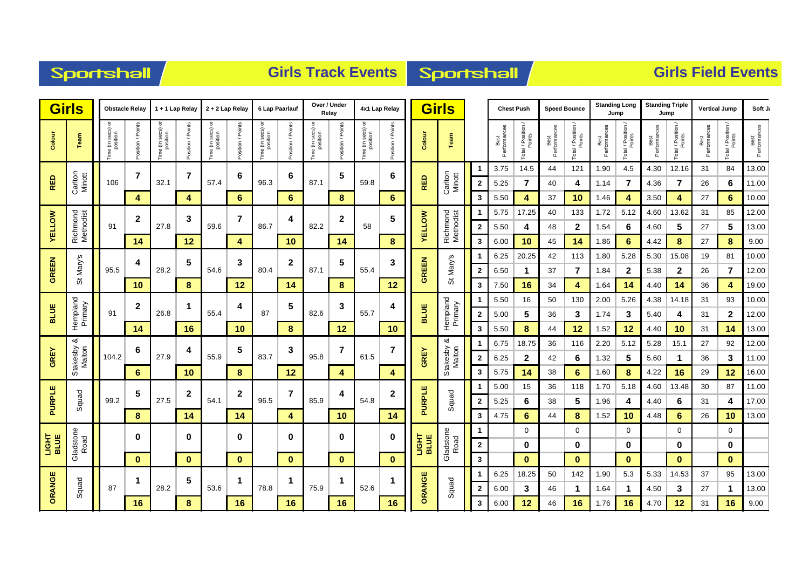## Sportshall

## **Girls Track Events Sportshall**

|               | <b>Girls</b><br><b>Obstacle Relay</b> |                                     | 1 + 1 Lap Relay<br>2 + 2 Lap Relay |                              | 6 Lap Paarlauf    |                                | Over / Under<br>Relav |                               | 4x1 Lap Relay     |                              | <b>Girls</b>      |                               |                  |                             | <b>Chest Push</b>     | <b>Speed Bounce</b> |                      | <b>Standing Long</b><br>Jump |                      | <b>Standing Triple</b><br>Jump |                      | <b>Vertical Jump</b>         |                      | Soft J.                      |                      |                              |                      |
|---------------|---------------------------------------|-------------------------------------|------------------------------------|------------------------------|-------------------|--------------------------------|-----------------------|-------------------------------|-------------------|------------------------------|-------------------|-------------------------------|------------------|-----------------------------|-----------------------|---------------------|----------------------|------------------------------|----------------------|--------------------------------|----------------------|------------------------------|----------------------|------------------------------|----------------------|------------------------------|----------------------|
| Colour        | Team                                  | ਠ<br>e (in secs) o<br>position<br>ξ | Points<br>sition /                 | ime (in secs) or<br>position | Points<br>ition / | ō<br>e (in secs) o<br>position | osition / Points      | Time (in secs) or<br>position | Position / Points | e (in secs)<br>position<br>e | Position / Points | Time (in secs) or<br>position | osition / Points | Colour                      | Team                  |                     | Best<br>Performances | Total / Position /<br>Points | Performances<br>Best | Total / Position /<br>Points   | Performances<br>Best | Total / Position /<br>Points | Performances<br>Best | Total / Position /<br>Points | Best<br>Performances | Total / Position /<br>Points | Best<br>Performances |
|               |                                       |                                     | $\overline{7}$                     |                              | $\overline{7}$    |                                | 6                     |                               | 6                 |                              | 5                 |                               | 6                |                             |                       |                     | 3.75                 | 14.5                         | 44                   | 121                            | 1.90                 | 4.5                          | 4.30                 | 12.16                        | 31                   | 84                           | 13.00                |
| <b>RED</b>    | Carlton<br>Minott                     | 106                                 |                                    | 32.1                         |                   | 57.4                           |                       | 96.3                          |                   | 87.1                         |                   | 59.8                          |                  | <b>RED</b>                  | Carlton<br>Minott     | $\mathbf{2}$        | 5.25                 |                              | 40                   | 4                              | 1.14                 | 7                            | 4.36                 | $\overline{7}$               | 26                   | 6                            | 11.00                |
|               |                                       |                                     | 4                                  |                              | 4                 |                                | 6                     |                               | 6                 |                              | 8                 |                               | 6                |                             |                       | 3                   | 5.50                 | 4                            | 37                   | 10                             | 1.46                 | 4                            | 3.50                 | 4                            | 27                   | 6                            | 10.00                |
|               | Richmond<br>Methodist                 |                                     | $\mathbf{2}$                       |                              | 3                 |                                | $\overline{7}$        |                               | 4                 |                              | $\mathbf 2$       |                               | 5                |                             | Richmond<br>Methodist |                     | 5.75                 | 17.25                        | 40                   | 133                            | 1.72                 | 5.12                         | 4.60                 | 13.62                        | 31                   | 85                           | 12.00                |
| <b>YELLOW</b> |                                       | 91                                  |                                    | 27.8                         |                   | 59.6                           |                       | 86.7                          |                   | 82.2                         |                   | 58                            |                  | <b>AELLOM</b>               |                       | $\mathbf{2}$        | 5.50                 | 4                            | 48                   | $\mathbf 2$                    | 1.54                 | 6                            | 4.60                 | 5                            | 27                   | 5                            | 13.00                |
|               |                                       |                                     | 14                                 |                              | 12                |                                | 4                     |                               | 10                |                              | 14                |                               | 8                |                             |                       | 3                   | 6.00                 | 10                           | 45                   | 14                             | 1.86                 | 6                            | 4.42                 | 8                            | 27                   | 8                            | 9.00                 |
|               | w<br>St Mary's<br>95.5                |                                     | 4                                  |                              | 5                 |                                | 3                     |                               | $\boldsymbol{2}$  |                              | 5                 | 55.4                          | 3                | <b>GREEN</b>                | ູທ                    |                     | 6.25                 | 20.25                        | 42                   | 113                            | 1.80                 | 5.28                         | 5.30                 | 15.08                        | 19                   | 81                           | 10.00                |
| <b>GREEN</b>  |                                       |                                     |                                    | 28.2                         |                   | 54.6                           |                       | 80.4                          |                   | 87.1                         |                   |                               |                  |                             | St Mary'              | $\mathbf{2}$        | 6.50                 | 1                            | 37                   | 7                              | 1.84                 | $\mathbf{2}$                 | 5.38                 | $\mathbf{2}$                 | 26                   | 7                            | 12.00                |
|               |                                       |                                     | 10                                 |                              | 8                 |                                | 12                    |                               | 14                |                              | 8                 |                               | 12               |                             |                       | 3                   | 7.50                 | 16                           | 34                   | 4                              | 1.64                 | 14                           | 4.40                 | 14                           | 36                   | 4                            | 19.00                |
| <b>BLUE</b>   |                                       | 91                                  | $\mathbf{2}$                       | 26.8                         | 1                 | 55.4                           | 4                     | 87                            | 5                 | 82.6                         | 3                 | 55.7                          | 4                | <b>BLUE</b>                 | Hempland<br>Primary   | $\boldsymbol{2}$    | 5.50                 | 16                           | 50<br>36             | 130                            | 2.00                 | 5.26                         | 4.38<br>5.40         | 14.18                        | 31                   | 93                           | 10.00<br>12.00       |
|               | Hempland<br>Primary                   |                                     | 14                                 |                              | 16                |                                | 10                    |                               | 8                 |                              | 12                |                               |                  | 10                          |                       | 3                   | 5.00<br>5.50         | 5<br>8                       | 44                   | 3<br>12                        | 1.74<br>1.52         | 3<br>12                      | 4.40                 | 4<br>10                      | 31<br>31             | $\mathbf 2$<br>14            | 13.00                |
|               | ಹ                                     |                                     |                                    |                              |                   |                                |                       |                               |                   |                              |                   |                               |                  |                             | ∞                     |                     | 6.75                 | 18.75                        | 36                   | 116                            | 2.20                 | 5.12                         | 5.28                 | 15.1                         | 27                   | 92                           | 12.00                |
| <b>GREY</b>   |                                       | 104.2                               | 6                                  | 27.9                         | 4                 | 55.9                           | 5                     | 83.7                          | 3                 | 95.8                         | 7                 | 61.5                          | $\overline{7}$   | <b>GREY</b>                 |                       | $\mathbf{2}$        | 6.25                 | 2                            | 42                   | 6                              | 1.32                 | 5                            | 5.60                 | $\mathbf{1}$                 | 36                   | 3                            | 11.00                |
|               | Stakesby<br>Malton                    |                                     | 6                                  |                              | 10                |                                | 8                     |                               | 12                |                              | 4                 |                               | 4                |                             | Stakesby<br>Malton    | 3                   | 5.75                 | 14                           | 38                   | 6                              | 1.60                 | 8                            | 4.22                 | 16                           | 29                   | 12                           | 16.00                |
|               |                                       |                                     |                                    |                              |                   |                                |                       |                               |                   |                              |                   |                               |                  |                             |                       |                     | 5.00                 | 15                           | 36                   | 118                            | 1.70                 | 5.18                         | 4.60                 | 13.48                        | 30                   | 87                           | 11.00                |
| PURPLE        | Squad                                 | 99.2                                | 5                                  | 27.5                         | 2                 | 54.1                           | $\mathbf 2$           | 96.5                          | $\overline{7}$    | 85.9                         | 4                 | 54.8                          | 2                | PURPLE                      | Squad                 | $\mathbf{2}$        | 5.25                 | 6                            | 38                   | 5                              | 1.96                 | 4                            | 4.40                 | 6                            | 31                   | 4                            | 17.00                |
|               |                                       |                                     | 8                                  | 14<br>14                     |                   | 4                              |                       | 10                            |                   | 14                           |                   |                               | 3                | 4.75                        | 6                     | 44                  | 8                    | 1.52                         | 10                   | 4.48                           | 6                    | 26                           | 10                   | 13.00                        |                      |                              |                      |
|               |                                       |                                     |                                    |                              |                   |                                |                       |                               |                   |                              |                   |                               |                  |                             | 1                     |                     | 0                    |                              | 0                    |                                | 0                    |                              | 0                    |                              | 0                    |                              |                      |
| <b>SIGHT</b>  | Gladstone<br>Road                     |                                     | 0                                  |                              | $\bf{0}$          |                                | 0                     |                               | 0                 |                              | 0                 |                               | 0                | <b>HISHT</b><br><b>BLUE</b> | Gladstone<br>Road     | $\mathbf{2}$        |                      | 0                            |                      | 0                              |                      | 0                            |                      | 0                            |                      | 0                            |                      |
|               |                                       |                                     | $\bf{0}$                           |                              | $\mathbf{0}$      |                                | $\mathbf{0}$          |                               | $\mathbf{0}$      |                              | $\mathbf{0}$      |                               | $\bf{0}$         |                             |                       | $\mathbf{3}$        |                      | $\bf{0}$                     |                      | $\mathbf{0}$                   |                      | $\mathbf{0}$                 |                      | $\mathbf{0}$                 |                      | $\mathbf{0}$                 |                      |
|               |                                       |                                     | -1                                 |                              | 5                 |                                | 1                     |                               | 1                 |                              | $\mathbf 1$       |                               | 1                |                             |                       |                     | 6.25                 | 18.25                        | 50                   | 142                            | 1.90                 | 5.3                          | 5.33                 | 14.53                        | 37                   | 95                           | 13.00                |
| ORANGI        | Squad                                 | 87                                  |                                    | 28.2                         |                   | 53.6                           |                       | 78.8                          |                   | 75.9                         |                   | 52.6                          |                  | ORANGE                      | Squad                 | $\mathbf{2}$        | 6.00                 | 3                            | 46                   | 1                              | 1.64                 | 1                            | 4.50                 | 3                            | 27                   | 1                            | 13.00                |
|               |                                       |                                     | 16                                 |                              | 8                 |                                | 16                    |                               | 16                |                              | 16                |                               | 16               |                             |                       | 3                   | 6.00                 | 12                           | 46                   | 16                             | 1.76                 | 16                           | 4.70                 | 12                           | 31                   | 16                           | 9.00                 |